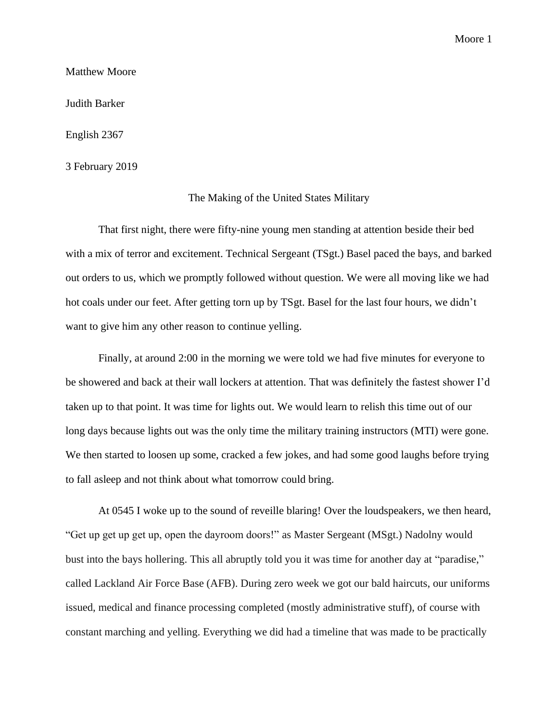## Matthew Moore

Judith Barker

English 2367

3 February 2019

## The Making of the United States Military

That first night, there were fifty-nine young men standing at attention beside their bed with a mix of terror and excitement. Technical Sergeant (TSgt.) Basel paced the bays, and barked out orders to us, which we promptly followed without question. We were all moving like we had hot coals under our feet. After getting torn up by TSgt. Basel for the last four hours, we didn't want to give him any other reason to continue yelling.

Finally, at around 2:00 in the morning we were told we had five minutes for everyone to be showered and back at their wall lockers at attention. That was definitely the fastest shower I'd taken up to that point. It was time for lights out. We would learn to relish this time out of our long days because lights out was the only time the military training instructors (MTI) were gone. We then started to loosen up some, cracked a few jokes, and had some good laughs before trying to fall asleep and not think about what tomorrow could bring.

At 0545 I woke up to the sound of reveille blaring! Over the loudspeakers, we then heard, "Get up get up get up, open the dayroom doors!" as Master Sergeant (MSgt.) Nadolny would bust into the bays hollering. This all abruptly told you it was time for another day at "paradise," called Lackland Air Force Base (AFB). During zero week we got our bald haircuts, our uniforms issued, medical and finance processing completed (mostly administrative stuff), of course with constant marching and yelling. Everything we did had a timeline that was made to be practically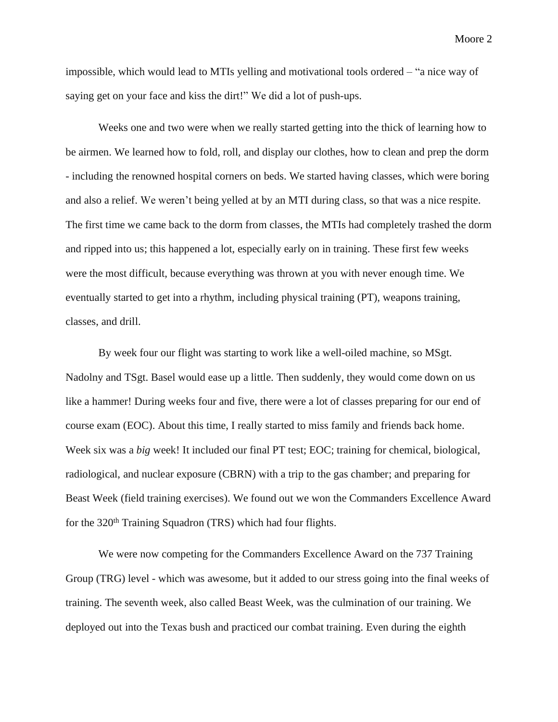impossible, which would lead to MTIs yelling and motivational tools ordered – "a nice way of saying get on your face and kiss the dirt!" We did a lot of push-ups.

Weeks one and two were when we really started getting into the thick of learning how to be airmen. We learned how to fold, roll, and display our clothes, how to clean and prep the dorm - including the renowned hospital corners on beds. We started having classes, which were boring and also a relief. We weren't being yelled at by an MTI during class, so that was a nice respite. The first time we came back to the dorm from classes, the MTIs had completely trashed the dorm and ripped into us; this happened a lot, especially early on in training. These first few weeks were the most difficult, because everything was thrown at you with never enough time. We eventually started to get into a rhythm, including physical training (PT), weapons training, classes, and drill.

By week four our flight was starting to work like a well-oiled machine, so MSgt. Nadolny and TSgt. Basel would ease up a little. Then suddenly, they would come down on us like a hammer! During weeks four and five, there were a lot of classes preparing for our end of course exam (EOC). About this time, I really started to miss family and friends back home. Week six was a *big* week! It included our final PT test; EOC; training for chemical, biological, radiological, and nuclear exposure (CBRN) with a trip to the gas chamber; and preparing for Beast Week (field training exercises). We found out we won the Commanders Excellence Award for the 320<sup>th</sup> Training Squadron (TRS) which had four flights.

We were now competing for the Commanders Excellence Award on the 737 Training Group (TRG) level - which was awesome, but it added to our stress going into the final weeks of training. The seventh week, also called Beast Week, was the culmination of our training. We deployed out into the Texas bush and practiced our combat training. Even during the eighth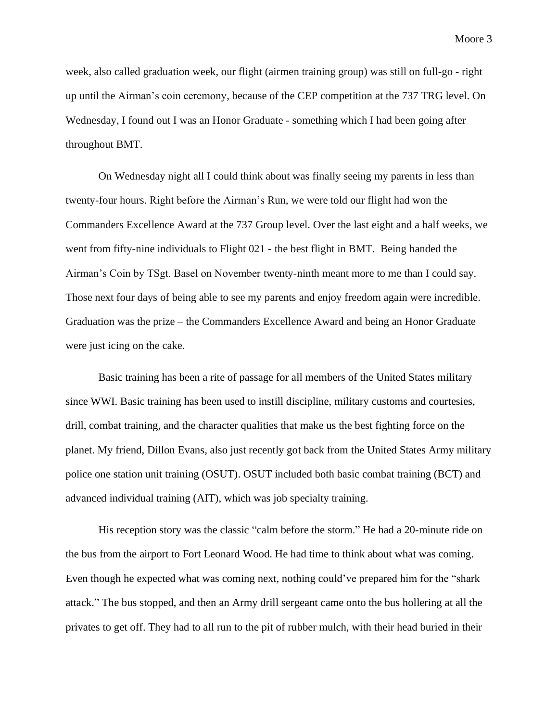week, also called graduation week, our flight (airmen training group) was still on full-go - right up until the Airman's coin ceremony, because of the CEP competition at the 737 TRG level. On Wednesday, I found out I was an Honor Graduate - something which I had been going after throughout BMT.

On Wednesday night all I could think about was finally seeing my parents in less than twenty-four hours. Right before the Airman's Run, we were told our flight had won the Commanders Excellence Award at the 737 Group level. Over the last eight and a half weeks, we went from fifty-nine individuals to Flight 021 - the best flight in BMT. Being handed the Airman's Coin by TSgt. Basel on November twenty-ninth meant more to me than I could say. Those next four days of being able to see my parents and enjoy freedom again were incredible. Graduation was the prize – the Commanders Excellence Award and being an Honor Graduate were just icing on the cake.

Basic training has been a rite of passage for all members of the United States military since WWI. Basic training has been used to instill discipline, military customs and courtesies, drill, combat training, and the character qualities that make us the best fighting force on the planet. My friend, Dillon Evans, also just recently got back from the United States Army military police one station unit training (OSUT). OSUT included both basic combat training (BCT) and advanced individual training (AIT), which was job specialty training.

His reception story was the classic "calm before the storm." He had a 20-minute ride on the bus from the airport to Fort Leonard Wood. He had time to think about what was coming. Even though he expected what was coming next, nothing could've prepared him for the "shark attack." The bus stopped, and then an Army drill sergeant came onto the bus hollering at all the privates to get off. They had to all run to the pit of rubber mulch, with their head buried in their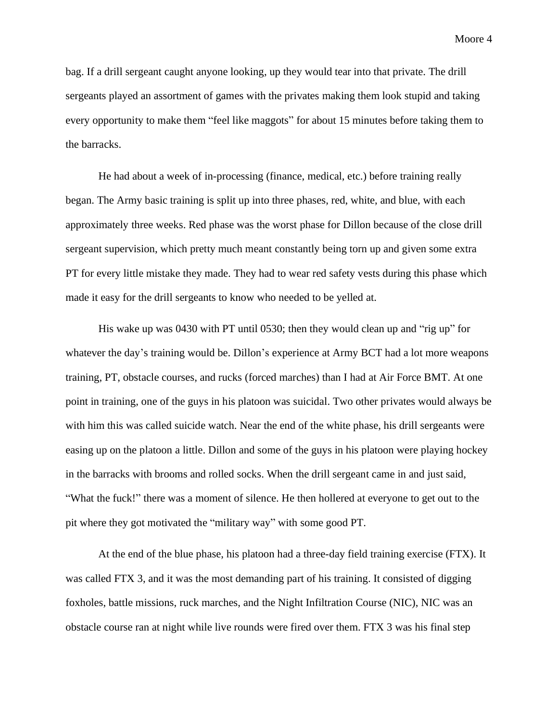bag. If a drill sergeant caught anyone looking, up they would tear into that private. The drill sergeants played an assortment of games with the privates making them look stupid and taking every opportunity to make them "feel like maggots" for about 15 minutes before taking them to the barracks.

He had about a week of in-processing (finance, medical, etc.) before training really began. The Army basic training is split up into three phases, red, white, and blue, with each approximately three weeks. Red phase was the worst phase for Dillon because of the close drill sergeant supervision, which pretty much meant constantly being torn up and given some extra PT for every little mistake they made. They had to wear red safety vests during this phase which made it easy for the drill sergeants to know who needed to be yelled at.

His wake up was 0430 with PT until 0530; then they would clean up and "rig up" for whatever the day's training would be. Dillon's experience at Army BCT had a lot more weapons training, PT, obstacle courses, and rucks (forced marches) than I had at Air Force BMT. At one point in training, one of the guys in his platoon was suicidal. Two other privates would always be with him this was called suicide watch. Near the end of the white phase, his drill sergeants were easing up on the platoon a little. Dillon and some of the guys in his platoon were playing hockey in the barracks with brooms and rolled socks. When the drill sergeant came in and just said, "What the fuck!" there was a moment of silence. He then hollered at everyone to get out to the pit where they got motivated the "military way" with some good PT.

At the end of the blue phase, his platoon had a three-day field training exercise (FTX). It was called FTX 3, and it was the most demanding part of his training. It consisted of digging foxholes, battle missions, ruck marches, and the Night Infiltration Course (NIC), NIC was an obstacle course ran at night while live rounds were fired over them. FTX 3 was his final step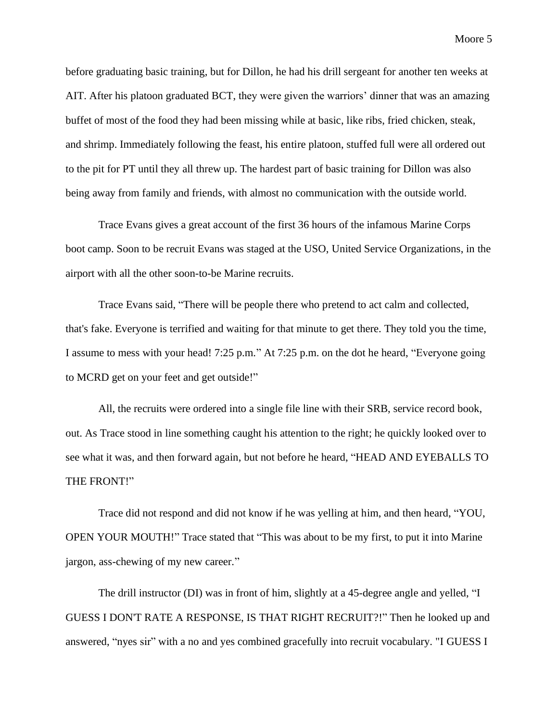before graduating basic training, but for Dillon, he had his drill sergeant for another ten weeks at AIT. After his platoon graduated BCT, they were given the warriors' dinner that was an amazing buffet of most of the food they had been missing while at basic, like ribs, fried chicken, steak, and shrimp. Immediately following the feast, his entire platoon, stuffed full were all ordered out to the pit for PT until they all threw up. The hardest part of basic training for Dillon was also being away from family and friends, with almost no communication with the outside world.

Trace Evans gives a great account of the first 36 hours of the infamous Marine Corps boot camp. Soon to be recruit Evans was staged at the USO, United Service Organizations, in the airport with all the other soon-to-be Marine recruits.

Trace Evans said, "There will be people there who pretend to act calm and collected, that's fake. Everyone is terrified and waiting for that minute to get there. They told you the time, I assume to mess with your head! 7:25 p.m." At 7:25 p.m. on the dot he heard, "Everyone going to MCRD get on your feet and get outside!"

All, the recruits were ordered into a single file line with their SRB, service record book, out. As Trace stood in line something caught his attention to the right; he quickly looked over to see what it was, and then forward again, but not before he heard, "HEAD AND EYEBALLS TO THE FRONT!"

Trace did not respond and did not know if he was yelling at him, and then heard, "YOU, OPEN YOUR MOUTH!" Trace stated that "This was about to be my first, to put it into Marine jargon, ass-chewing of my new career."

The drill instructor (DI) was in front of him, slightly at a 45-degree angle and yelled, "I GUESS I DON'T RATE A RESPONSE, IS THAT RIGHT RECRUIT?!" Then he looked up and answered, "nyes sir" with a no and yes combined gracefully into recruit vocabulary. "I GUESS I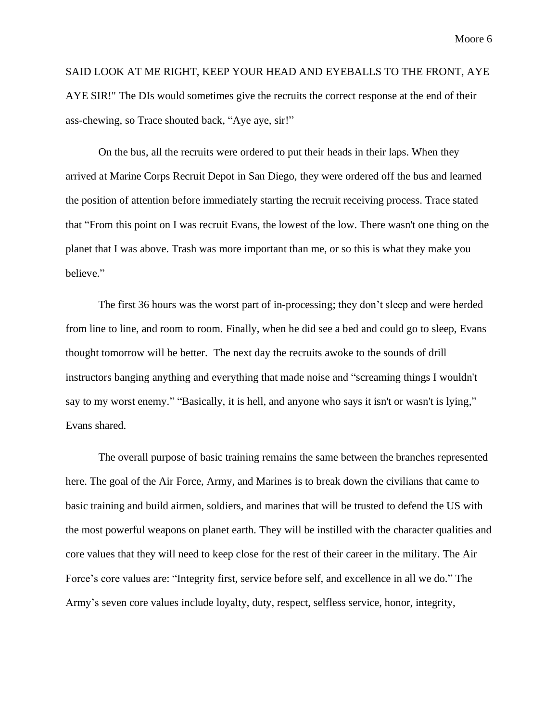SAID LOOK AT ME RIGHT, KEEP YOUR HEAD AND EYEBALLS TO THE FRONT, AYE AYE SIR!" The DIs would sometimes give the recruits the correct response at the end of their ass-chewing, so Trace shouted back, "Aye aye, sir!"

On the bus, all the recruits were ordered to put their heads in their laps. When they arrived at Marine Corps Recruit Depot in San Diego, they were ordered off the bus and learned the position of attention before immediately starting the recruit receiving process. Trace stated that "From this point on I was recruit Evans, the lowest of the low. There wasn't one thing on the planet that I was above. Trash was more important than me, or so this is what they make you believe."

The first 36 hours was the worst part of in-processing; they don't sleep and were herded from line to line, and room to room. Finally, when he did see a bed and could go to sleep, Evans thought tomorrow will be better. The next day the recruits awoke to the sounds of drill instructors banging anything and everything that made noise and "screaming things I wouldn't say to my worst enemy." "Basically, it is hell, and anyone who says it isn't or wasn't is lying," Evans shared.

The overall purpose of basic training remains the same between the branches represented here. The goal of the Air Force, Army, and Marines is to break down the civilians that came to basic training and build airmen, soldiers, and marines that will be trusted to defend the US with the most powerful weapons on planet earth. They will be instilled with the character qualities and core values that they will need to keep close for the rest of their career in the military. The Air Force's core values are: "Integrity first, service before self, and excellence in all we do." The Army's seven core values include loyalty, duty, respect, selfless service, honor, integrity,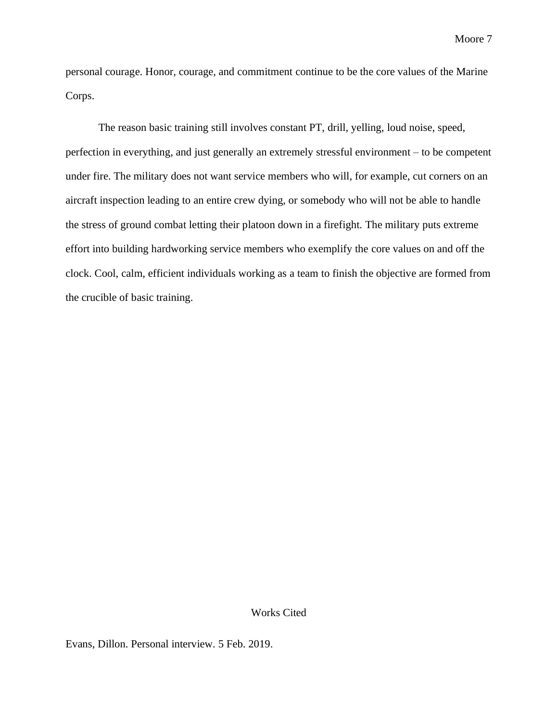personal courage. Honor, courage, and commitment continue to be the core values of the Marine Corps.

The reason basic training still involves constant PT, drill, yelling, loud noise, speed, perfection in everything, and just generally an extremely stressful environment – to be competent under fire. The military does not want service members who will, for example, cut corners on an aircraft inspection leading to an entire crew dying, or somebody who will not be able to handle the stress of ground combat letting their platoon down in a firefight. The military puts extreme effort into building hardworking service members who exemplify the core values on and off the clock. Cool, calm, efficient individuals working as a team to finish the objective are formed from the crucible of basic training.

## Works Cited

Evans, Dillon. Personal interview. 5 Feb. 2019.